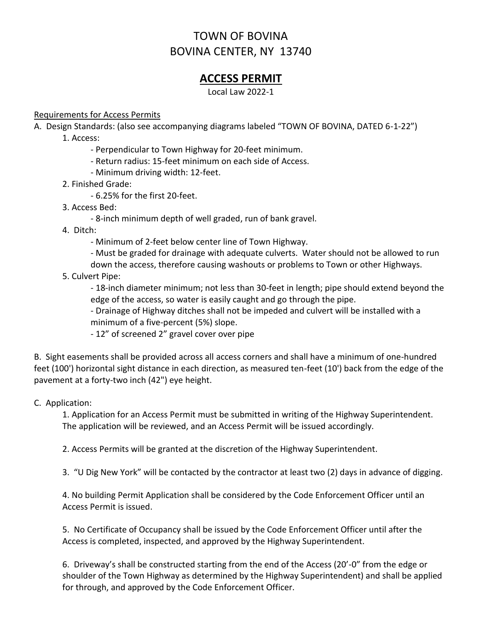# TOWN OF BOVINA BOVINA CENTER, NY 13740

## **ACCESS PERMIT**

Local Law 2022-1

#### Requirements for Access Permits

A. Design Standards: (also see accompanying diagrams labeled "TOWN OF BOVINA, DATED 6-1-22")

1. Access:

- Perpendicular to Town Highway for 20-feet minimum.
- Return radius: 15-feet minimum on each side of Access.
- Minimum driving width: 12-feet.
- 2. Finished Grade:
	- 6.25% for the first 20-feet.
- 3. Access Bed:
	- 8-inch minimum depth of well graded, run of bank gravel.
- 4. Ditch:
	- Minimum of 2-feet below center line of Town Highway.
	- Must be graded for drainage with adequate culverts. Water should not be allowed to run down the access, therefore causing washouts or problems to Town or other Highways.
- 5. Culvert Pipe:

- 18-inch diameter minimum; not less than 30-feet in length; pipe should extend beyond the edge of the access, so water is easily caught and go through the pipe.

- Drainage of Highway ditches shall not be impeded and culvert will be installed with a minimum of a five-percent (5%) slope.

- 12" of screened 2" gravel cover over pipe

B. Sight easements shall be provided across all access corners and shall have a minimum of one-hundred feet (100') horizontal sight distance in each direction, as measured ten-feet (10') back from the edge of the pavement at a forty-two inch (42") eye height.

#### C. Application:

1. Application for an Access Permit must be submitted in writing of the Highway Superintendent. The application will be reviewed, and an Access Permit will be issued accordingly.

2. Access Permits will be granted at the discretion of the Highway Superintendent.

3. "U Dig New York" will be contacted by the contractor at least two (2) days in advance of digging.

4. No building Permit Application shall be considered by the Code Enforcement Officer until an Access Permit is issued.

5. No Certificate of Occupancy shall be issued by the Code Enforcement Officer until after the Access is completed, inspected, and approved by the Highway Superintendent.

6. Driveway's shall be constructed starting from the end of the Access (20'-0" from the edge or shoulder of the Town Highway as determined by the Highway Superintendent) and shall be applied for through, and approved by the Code Enforcement Officer.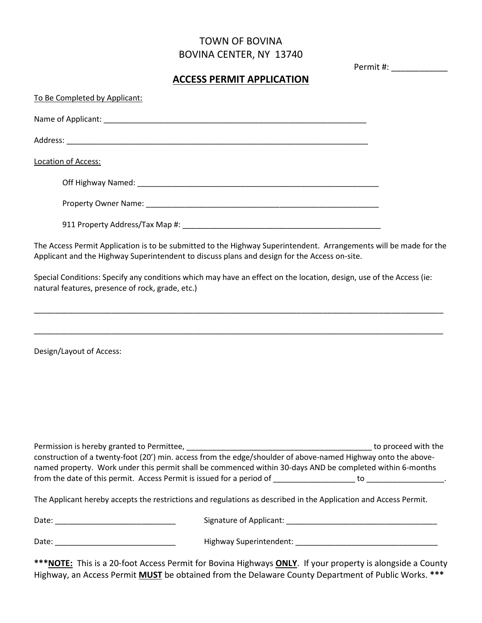### TOWN OF BOVINA BOVINA CENTER, NY 13740

Permit #: \_\_\_\_\_\_\_\_\_\_\_\_

#### **ACCESS PERMIT APPLICATION**

| To Be Completed by Applicant:                                                                                                                                                                                                                               |  |  |
|-------------------------------------------------------------------------------------------------------------------------------------------------------------------------------------------------------------------------------------------------------------|--|--|
|                                                                                                                                                                                                                                                             |  |  |
|                                                                                                                                                                                                                                                             |  |  |
| Location of Access:                                                                                                                                                                                                                                         |  |  |
|                                                                                                                                                                                                                                                             |  |  |
|                                                                                                                                                                                                                                                             |  |  |
|                                                                                                                                                                                                                                                             |  |  |
| The Access Permit Application is to be submitted to the Highway Superintendent. Arrangements will be made for the<br>Applicant and the Highway Superintendent to discuss plans and design for the Access on-site.                                           |  |  |
| Special Conditions: Specify any conditions which may have an effect on the location, design, use of the Access (ie:<br>natural features, presence of rock, grade, etc.)<br>,我们也不能在这里的时候,我们也不能在这里的时候,我们也不能会在这里,我们也不能会在这里的时候,我们也不能会在这里的时候,我们也不能会在这里的时候,我们也不能会 |  |  |
| Design/Layout of Access:                                                                                                                                                                                                                                    |  |  |
| construction of a twenty-foot (20') min. access from the edge/shoulder of above-named Highway onto the above-<br>named property. Work under this permit shall be commenced within 30-days AND be completed within 6-months                                  |  |  |
|                                                                                                                                                                                                                                                             |  |  |
| The Applicant hereby accepts the restrictions and regulations as described in the Application and Access Permit.                                                                                                                                            |  |  |
|                                                                                                                                                                                                                                                             |  |  |
|                                                                                                                                                                                                                                                             |  |  |

**\*\*\*NOTE:** This is a 20-foot Access Permit for Bovina Highways **ONLY**. If your property is alongside a County Highway, an Access Permit **MUST** be obtained from the Delaware County Department of Public Works. **\*\*\***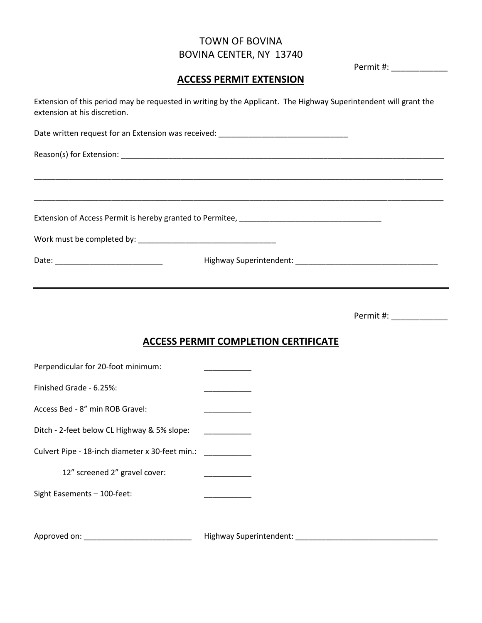### TOWN OF BOVINA BOVINA CENTER, NY 13740

Permit #: \_\_\_\_\_\_\_\_\_\_\_\_

#### **ACCESS PERMIT EXTENSION**

Extension of this period may be requested in writing by the Applicant. The Highway Superintendent will grant the extension at his discretion.

\_\_\_\_\_\_\_\_\_\_\_\_\_\_\_\_\_\_\_\_\_\_\_\_\_\_\_\_\_\_\_\_\_\_\_\_\_\_\_\_\_\_\_\_\_\_\_\_\_\_\_\_\_\_\_\_\_\_\_\_\_\_\_\_\_\_\_\_\_\_\_\_\_\_\_\_\_\_\_\_\_\_\_\_\_\_\_\_\_\_\_\_\_\_\_

\_\_\_\_\_\_\_\_\_\_\_\_\_\_\_\_\_\_\_\_\_\_\_\_\_\_\_\_\_\_\_\_\_\_\_\_\_\_\_\_\_\_\_\_\_\_\_\_\_\_\_\_\_\_\_\_\_\_\_\_\_\_\_\_\_\_\_\_\_\_\_\_\_\_\_\_\_\_\_\_\_\_\_\_\_\_\_\_\_\_\_\_\_\_\_

Date written request for an Extension was received: \_\_\_\_\_\_\_\_\_\_\_\_\_\_\_\_\_\_\_\_\_\_\_\_\_\_\_\_

Reason(s) for Extension: \_\_\_\_\_\_\_\_\_\_\_\_\_\_\_\_\_\_\_\_\_\_\_\_\_\_\_\_\_\_\_\_\_\_\_\_\_\_\_\_\_\_\_\_\_\_\_\_\_\_\_\_\_\_\_\_\_\_\_\_\_\_\_\_\_\_\_\_\_\_\_\_\_\_\_

Extension of Access Permit is hereby granted to Permitee, \_\_\_\_\_\_\_\_\_\_\_\_\_\_\_\_\_\_\_\_\_\_\_\_\_\_\_\_\_\_\_\_\_

Work must be completed by: \_\_\_\_\_\_\_\_\_\_\_\_\_\_\_\_\_\_\_\_\_\_\_\_\_\_\_\_\_\_\_\_

Date: \_\_\_\_\_\_\_\_\_\_\_\_\_\_\_\_\_\_\_\_\_\_\_\_\_ Highway Superintendent: \_\_\_\_\_\_\_\_\_\_\_\_\_\_\_\_\_\_\_\_\_\_\_\_\_\_\_\_\_\_\_\_\_

Permit #:

#### **ACCESS PERMIT COMPLETION CERTIFICATE**

| Perpendicular for 20-foot minimum:              |                         |
|-------------------------------------------------|-------------------------|
| Finished Grade - 6.25%:                         |                         |
| Access Bed - 8" min ROB Gravel:                 |                         |
| Ditch - 2-feet below CL Highway & 5% slope:     |                         |
| Culvert Pipe - 18-inch diameter x 30-feet min.: |                         |
| 12" screened 2" gravel cover:                   |                         |
| Sight Easements - 100-feet:                     |                         |
|                                                 |                         |
| Approved on:                                    | Highway Superintendent: |